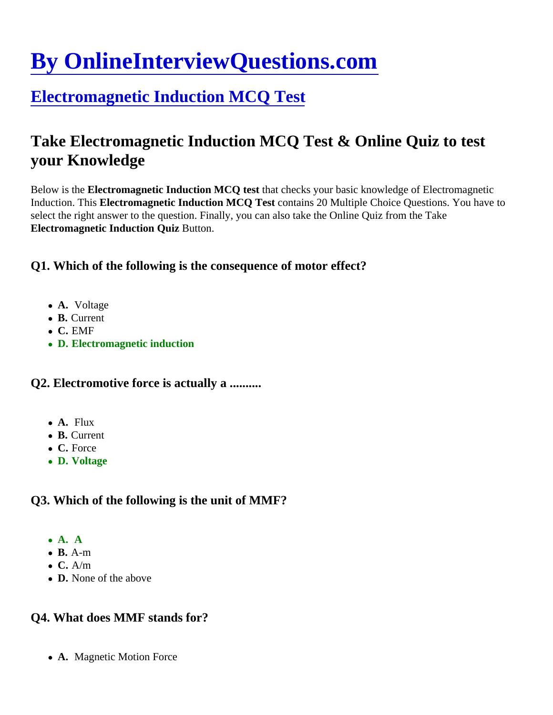# [By OnlineInterviewQuestions.com](https://www.onlineinterviewquestions.com/)

# [Electromagnetic Induction MCQ Test](https://www.onlineinterviewquestions.com/electromagnetic-induction-mcq/)

# Take Electromagnetic Induction MCQ Test & Online Quiz to test your Knowledge

Below is the Electromagnetic Induction MCQ test that checks your basic knowledge of Electromagnetic Induction. This Electromagnetic Induction MCQ Test contains 20 Multiple Choice Questions. You have to select the right answer to the question. Finally, you can also take the Online Quiz from the Take Electromagnetic Induction Quiz Button.

Q1. Which of the following is the consequence of motor effect?

- A. Voltage
- B. Current
- C. EMF
- D. Electromagnetic induction

Q2. Electromotive force is actually a .........

- A. Flux
- B. Current
- C. Force
- D. Voltage

Q3. Which of the following is the unit of MMF?

- $\bullet$  A. A.
- B. A-m
- $\bullet$  C. A/m
- D. None of the above

Q4. What does MMF stands for?

• A. Magnetic Motion Force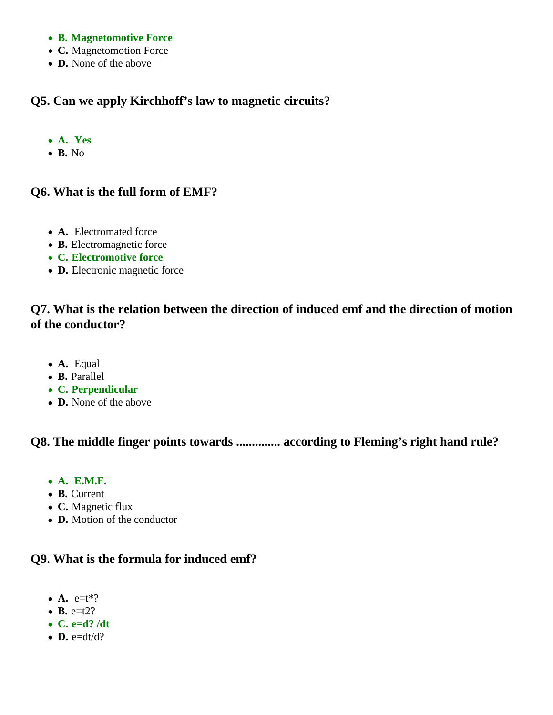- **B. Magnetomotive Force**
- **C.** Magnetomotion Force
- **D.** None of the above

# **Q5. Can we apply Kirchhoff's law to magnetic circuits?**

- **A. Yes**
- **B.** No

#### **Q6. What is the full form of EMF?**

- **A.** Electromated force
- **B.** Electromagnetic force
- **C. Electromotive force**
- **D.** Electronic magnetic force

# **Q7. What is the relation between the direction of induced emf and the direction of motion of the conductor?**

- **A.** Equal
- **B.** Parallel
- **C. Perpendicular**
- **D.** None of the above

#### **Q8. The middle finger points towards .............. according to Fleming's right hand rule?**

- **A. E.M.F.**
- **B.** Current
- **C.** Magnetic flux
- **D.** Motion of the conductor

#### **Q9. What is the formula for induced emf?**

- $\bullet$  **A.** e=t<sup>\*?</sup>
- $\bullet$  **B.** e=t2?
- **C. e=d? /dt**
- $\bullet$  **D.** e=dt/d?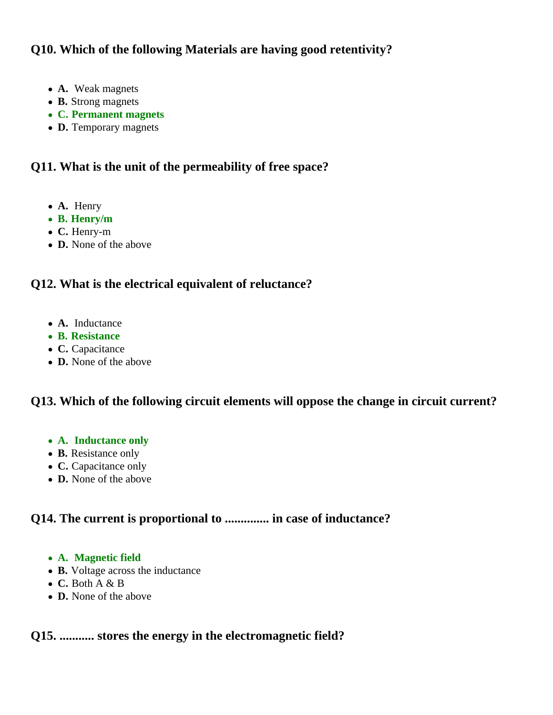# **Q10. Which of the following Materials are having good retentivity?**

- **A.** Weak magnets
- **B.** Strong magnets
- **C. Permanent magnets**
- **D.** Temporary magnets

# **Q11. What is the unit of the permeability of free space?**

- **A.** Henry
- **B. Henry/m**
- **C.** Henry-m
- **D.** None of the above

# **Q12. What is the electrical equivalent of reluctance?**

- **A.** Inductance
- **B. Resistance**
- **C.** Capacitance
- **D.** None of the above

# **Q13. Which of the following circuit elements will oppose the change in circuit current?**

- **A. Inductance only**
- **B.** Resistance only
- **C.** Capacitance only
- **D.** None of the above

# **Q14. The current is proportional to .............. in case of inductance?**

- **A. Magnetic field**
- **B.** Voltage across the inductance
- **C.** Both A & B
- **D.** None of the above

# **Q15. ........... stores the energy in the electromagnetic field?**